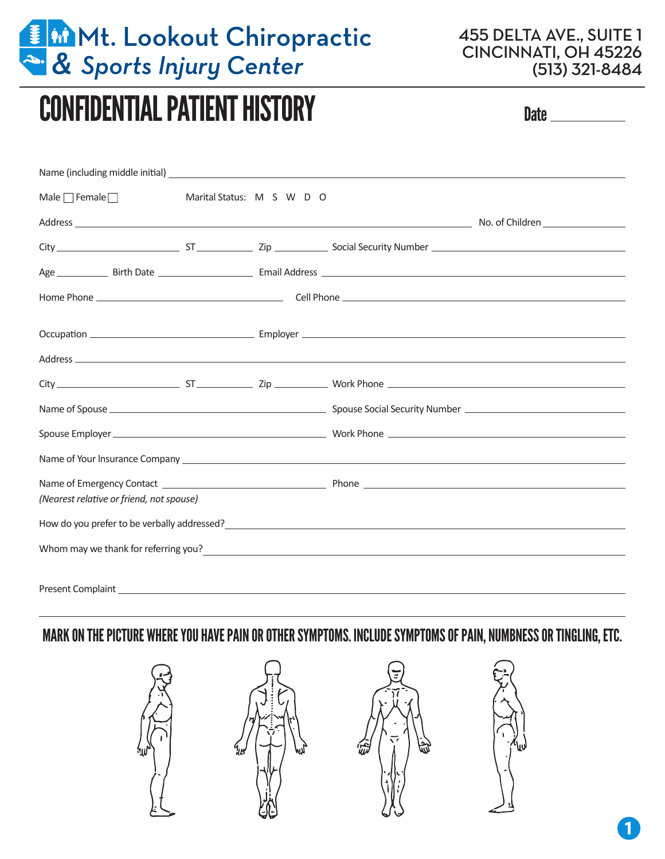

455 DELTA AVE., SUITE 1 CINCINNATI, OH 45226 (513) 321-8484

# CONFIDENTIAL PATIENT HISTORY Date of the Date of the Date of the Date of the Date of the Date of the Date of the Date of the Date of the Date of the Date of the Date of the Date of the Date of the Date of the Date of the D

| Male $\Box$ Female $\Box$                |  | Marital Status: M S W D O |                                                                                                                                                                                                                                       |  |
|------------------------------------------|--|---------------------------|---------------------------------------------------------------------------------------------------------------------------------------------------------------------------------------------------------------------------------------|--|
|                                          |  |                           |                                                                                                                                                                                                                                       |  |
|                                          |  |                           |                                                                                                                                                                                                                                       |  |
|                                          |  |                           |                                                                                                                                                                                                                                       |  |
|                                          |  |                           |                                                                                                                                                                                                                                       |  |
|                                          |  |                           |                                                                                                                                                                                                                                       |  |
|                                          |  |                           |                                                                                                                                                                                                                                       |  |
|                                          |  |                           |                                                                                                                                                                                                                                       |  |
|                                          |  |                           |                                                                                                                                                                                                                                       |  |
|                                          |  |                           |                                                                                                                                                                                                                                       |  |
|                                          |  |                           |                                                                                                                                                                                                                                       |  |
|                                          |  |                           |                                                                                                                                                                                                                                       |  |
|                                          |  |                           |                                                                                                                                                                                                                                       |  |
| (Nearest relative or friend, not spouse) |  |                           |                                                                                                                                                                                                                                       |  |
|                                          |  |                           |                                                                                                                                                                                                                                       |  |
|                                          |  |                           |                                                                                                                                                                                                                                       |  |
|                                          |  |                           | Whom may we thank for referring you?<br><u> University</u> of the contract of the contract of the contract of the contract of the contract of the contract of the contract of the contract of the contract of the contract of the con |  |
|                                          |  |                           |                                                                                                                                                                                                                                       |  |

MARK ON THE PICTURE WHERE YOU HAVE PAIN OR OTHER SYMPTOMS. INCLUDE SYMPTOMS OF PAIN, NUMBNESS OR TINGLING, ETC.



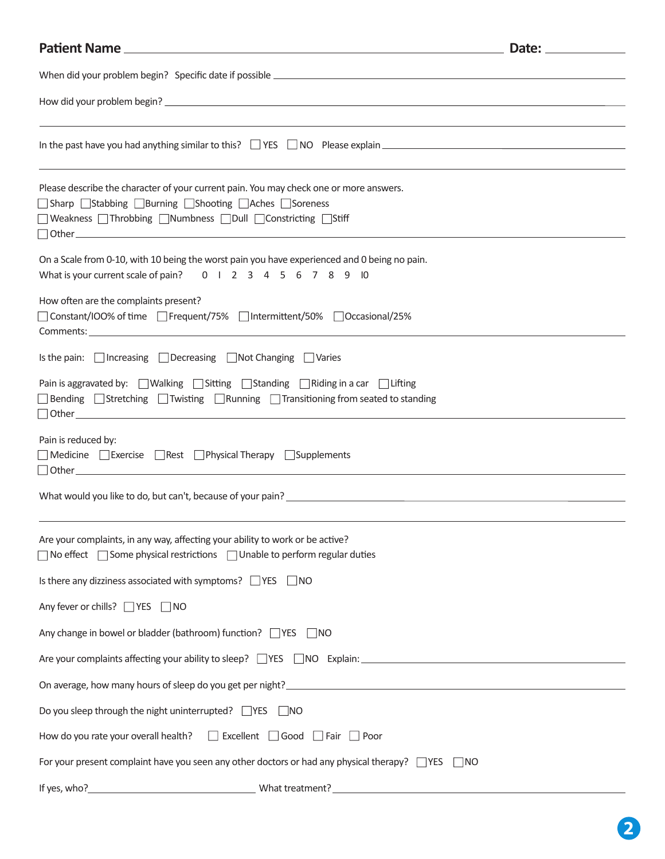## **Patient Name Date: Date: Date: Date: Date: Date: Date: Date: Date: Date: Date: Date: Date: Date: Date: Date: Date: Date: Date: Date: Date: Date: Date: Date: Date: Date:** When did your problem begin? Specific date if possible How did your problem begin? In the past have you had anything similar to this?  $\Box$  YES  $\Box$  NO Please explain  $\Box$ Please describe the character of your current pain. You may check one or more answers. □ Sharp □ Stabbing □ Burning □ Shooting □ Aches □ Soreness Weakness Throbbing Numbness Dull Constricting Stiff Other On a Scale from 0-10, with 10 being the worst pain you have experienced and 0 being no pain. What is your current scale of pain? 0 1 2 3 4 5 6 7 8 9 10 How often are the complaints present? □ Constant/IOO% of time □ Frequent/75% □ Intermittent/50% □ Occasional/25% Comments: Is the pain:  $\Box$  Increasing  $\Box$  Decreasing  $\Box$  Not Changing  $\Box$  Varies Pain is aggravated by:  $\Box$  Walking  $\Box$  Sitting  $\Box$  Standing  $\Box$  Riding in a car  $\Box$  Lifting  $\Box$  Bending  $\Box$  Stretching  $\Box$  Twisting  $\Box$  Running  $\Box$  Transitioning from seated to standing Other Pain is reduced by:  $\Box$  Medicine  $\Box$  Exercise  $\Box$  Rest  $\Box$  Physical Therapy  $\Box$  Supplements Other What would you like to do, but can't, because of your pain? Are your complaints, in any way, affecting your ability to work or be active?  $\Box$  No effect  $\Box$  Some physical restrictions  $\Box$  Unable to perform regular duties Is there any dizziness associated with symptoms?  $\Box$  YES  $\Box$  NO Any fever or chills?  $\Box$  YES  $\Box$  NO Any change in bowel or bladder (bathroom) function?  $\Box$  YES  $\Box$  NO Are your complaints affecting your ability to sleep?  $\Box$  YES  $\Box$  NO Explain: On average, how many hours of sleep do you get per night? Do you sleep through the night uninterrupted?  $\Box$ YES  $\Box$ NO How do you rate your overall health?  $\Box$  Excellent  $\Box$  Good  $\Box$  Fair  $\Box$  Poor For your present complaint have you seen any other doctors or had any physical therapy?  $\Box$ YES  $\Box$ NO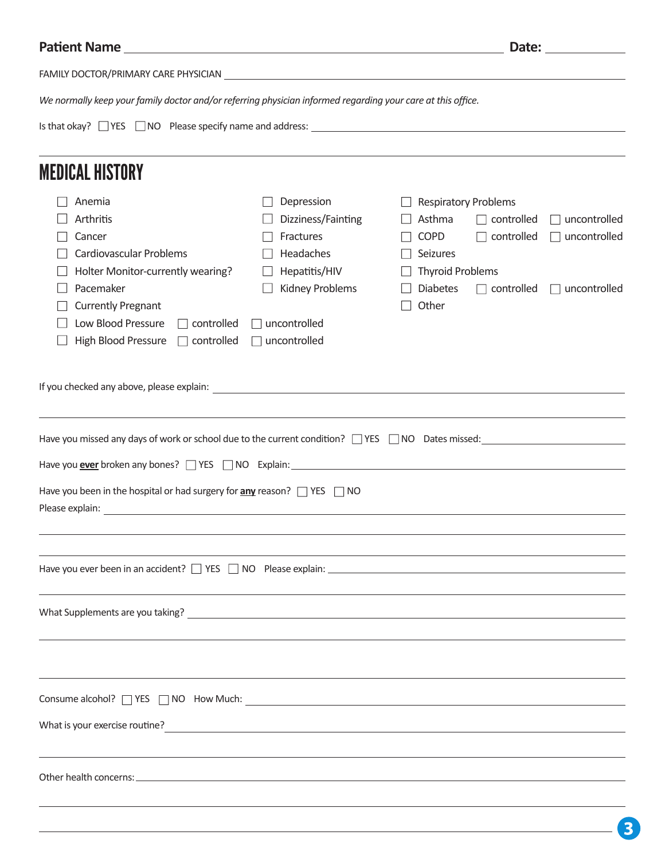| <b>Patient Name</b>                                                                                                                                                                                                                                                                                                                                                                                                                                                                                                                                                                                                                                                                                            | <u> 1980 - Andrea Andrew Maria (h. 1980).</u> |                                                                                                                      | Date: the contract of the contract of the contract of the contract of the contract of the contract of the contract of the contract of the contract of the contract of the contract of the contract of the contract of the cont |  |
|----------------------------------------------------------------------------------------------------------------------------------------------------------------------------------------------------------------------------------------------------------------------------------------------------------------------------------------------------------------------------------------------------------------------------------------------------------------------------------------------------------------------------------------------------------------------------------------------------------------------------------------------------------------------------------------------------------------|-----------------------------------------------|----------------------------------------------------------------------------------------------------------------------|--------------------------------------------------------------------------------------------------------------------------------------------------------------------------------------------------------------------------------|--|
| FAMILY DOCTOR/PRIMARY CARE PHYSICIAN <b>Example 2018</b> 2022 2023 2023 2023 2024 2022 2023 2024 2022 2023 2024 2022 2023                                                                                                                                                                                                                                                                                                                                                                                                                                                                                                                                                                                      |                                               |                                                                                                                      |                                                                                                                                                                                                                                |  |
| We normally keep your family doctor and/or referring physician informed regarding your care at this office.                                                                                                                                                                                                                                                                                                                                                                                                                                                                                                                                                                                                    |                                               |                                                                                                                      |                                                                                                                                                                                                                                |  |
|                                                                                                                                                                                                                                                                                                                                                                                                                                                                                                                                                                                                                                                                                                                |                                               |                                                                                                                      |                                                                                                                                                                                                                                |  |
| <b>MEDICAL HISTORY</b>                                                                                                                                                                                                                                                                                                                                                                                                                                                                                                                                                                                                                                                                                         |                                               |                                                                                                                      |                                                                                                                                                                                                                                |  |
| Anemia                                                                                                                                                                                                                                                                                                                                                                                                                                                                                                                                                                                                                                                                                                         | Depression                                    | <b>Respiratory Problems</b>                                                                                          |                                                                                                                                                                                                                                |  |
| Arthritis                                                                                                                                                                                                                                                                                                                                                                                                                                                                                                                                                                                                                                                                                                      | Dizziness/Fainting                            | Asthma<br>$\Box$ controlled                                                                                          | uncontrolled                                                                                                                                                                                                                   |  |
| Cancer                                                                                                                                                                                                                                                                                                                                                                                                                                                                                                                                                                                                                                                                                                         | Fractures                                     | <b>COPD</b><br>$\Box$ controlled                                                                                     | uncontrolled                                                                                                                                                                                                                   |  |
| Cardiovascular Problems                                                                                                                                                                                                                                                                                                                                                                                                                                                                                                                                                                                                                                                                                        | Headaches                                     | Seizures                                                                                                             |                                                                                                                                                                                                                                |  |
| Holter Monitor-currently wearing?                                                                                                                                                                                                                                                                                                                                                                                                                                                                                                                                                                                                                                                                              | Hepatitis/HIV                                 | <b>Thyroid Problems</b>                                                                                              |                                                                                                                                                                                                                                |  |
| Pacemaker                                                                                                                                                                                                                                                                                                                                                                                                                                                                                                                                                                                                                                                                                                      | Kidney Problems                               | <b>Diabetes</b><br>$\Box$ controlled                                                                                 | uncontrolled                                                                                                                                                                                                                   |  |
| <b>Currently Pregnant</b>                                                                                                                                                                                                                                                                                                                                                                                                                                                                                                                                                                                                                                                                                      |                                               | Other                                                                                                                |                                                                                                                                                                                                                                |  |
| Low Blood Pressure<br>$\Box$ controlled                                                                                                                                                                                                                                                                                                                                                                                                                                                                                                                                                                                                                                                                        | uncontrolled                                  |                                                                                                                      |                                                                                                                                                                                                                                |  |
| High Blood Pressure<br>$\Box$ controlled                                                                                                                                                                                                                                                                                                                                                                                                                                                                                                                                                                                                                                                                       | uncontrolled                                  |                                                                                                                      |                                                                                                                                                                                                                                |  |
| If you checked any above, please explain: example are all the set of the set of the set of the set of the set of the set of the set of the set of the set of the set of the set of the set of the set of the set of the set of<br>Have you missed any days of work or school due to the current condition? $\Box$ YES $\Box$ NO Dates missed:<br>Have you ever broken any bones? TYES NO Explain: Manual Content Content of the Second Line of the Second Line S<br>Have you been in the hospital or had surgery for $\frac{any}{x}$ reason? $\Box$ YES $\Box$ NO<br>Please explain:<br><u> 1989 - Johann Stoff, deutscher Stoffen und der Stoffen und der Stoffen und der Stoffen und der Stoffen und der</u> |                                               |                                                                                                                      |                                                                                                                                                                                                                                |  |
|                                                                                                                                                                                                                                                                                                                                                                                                                                                                                                                                                                                                                                                                                                                |                                               |                                                                                                                      |                                                                                                                                                                                                                                |  |
| Consume alcohol? T YES T NO How Much: The Consumer Consumer alcohol? T YES T NO How Much:                                                                                                                                                                                                                                                                                                                                                                                                                                                                                                                                                                                                                      |                                               |                                                                                                                      |                                                                                                                                                                                                                                |  |
|                                                                                                                                                                                                                                                                                                                                                                                                                                                                                                                                                                                                                                                                                                                |                                               |                                                                                                                      |                                                                                                                                                                                                                                |  |
| What is your exercise routine?                                                                                                                                                                                                                                                                                                                                                                                                                                                                                                                                                                                                                                                                                 |                                               | <u> 1989 - Johann Stein, mars an deutscher Stein und der Stein und der Stein und der Stein und der Stein und der</u> |                                                                                                                                                                                                                                |  |
|                                                                                                                                                                                                                                                                                                                                                                                                                                                                                                                                                                                                                                                                                                                |                                               |                                                                                                                      |                                                                                                                                                                                                                                |  |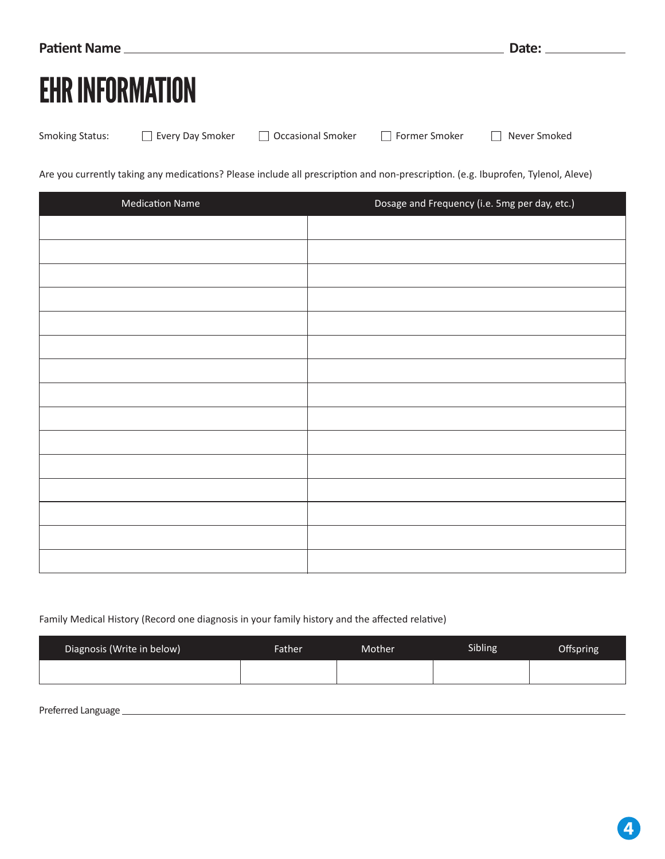| <b>Patient Name</b>    | Date: |
|------------------------|-------|
| <b>EHR INFORMATION</b> |       |

Smoking Status:  $\Box$  Every Day Smoker  $\Box$  Occasional Smoker  $\Box$  Former Smoker  $\Box$  Never Smoked

Are you currently taking any medications? Please include all prescription and non-prescription. (e.g. Ibuprofen, Tylenol, Aleve)

| <b>Medication Name</b> | Dosage and Frequency (i.e. 5mg per day, etc.) |
|------------------------|-----------------------------------------------|
|                        |                                               |
|                        |                                               |
|                        |                                               |
|                        |                                               |
|                        |                                               |
|                        |                                               |
|                        |                                               |
|                        |                                               |
|                        |                                               |
|                        |                                               |
|                        |                                               |
|                        |                                               |
|                        |                                               |
|                        |                                               |
|                        |                                               |

#### Family Medical History (Record one diagnosis in your family history and the affected relative)

| Diagnosis (Write in below) | Father | Mother. | Sibling | Offspring |
|----------------------------|--------|---------|---------|-----------|
|                            |        |         |         |           |

Preferred Language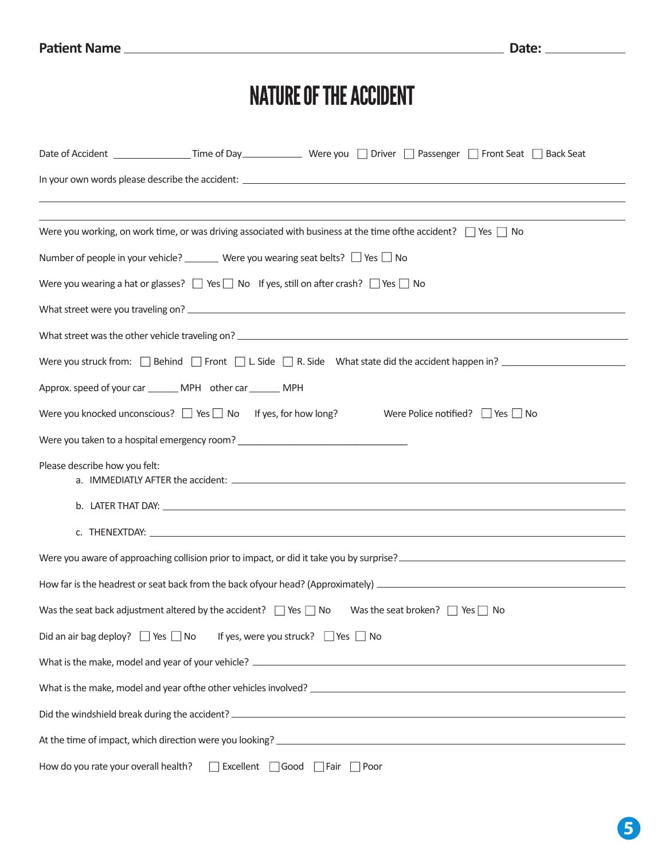## NATURE OF THE ACCIDENT

|                                      |                                                                                                                      | Were you working, on work time, or was driving associated with business at the time ofthe accident? $\Box$ Yes $\Box$ No                                                             |
|--------------------------------------|----------------------------------------------------------------------------------------------------------------------|--------------------------------------------------------------------------------------------------------------------------------------------------------------------------------------|
|                                      | Number of people in your vehicle? ________ Were you wearing seat belts? $\Box$ Yes $\Box$ No                         |                                                                                                                                                                                      |
|                                      | Were you wearing a hat or glasses? $\Box$ Yes $\Box$ No If yes, still on after crash? $\Box$ Yes $\Box$ No           |                                                                                                                                                                                      |
|                                      |                                                                                                                      |                                                                                                                                                                                      |
|                                      |                                                                                                                      |                                                                                                                                                                                      |
|                                      |                                                                                                                      | Were you struck from: $\Box$ Behind $\Box$ Front $\Box$ L. Side $\Box$ R. Side What state did the accident happen in?                                                                |
|                                      | Approx. speed of your car ________ MPH other car _______ MPH                                                         |                                                                                                                                                                                      |
|                                      | Were you knocked unconscious? $\Box$ Yes $\Box$ No If yes, for how long?                                             | Were Police notified? I I Yes I I No                                                                                                                                                 |
|                                      |                                                                                                                      |                                                                                                                                                                                      |
| Please describe how you felt:        |                                                                                                                      |                                                                                                                                                                                      |
|                                      |                                                                                                                      |                                                                                                                                                                                      |
|                                      |                                                                                                                      |                                                                                                                                                                                      |
|                                      |                                                                                                                      | Were you aware of approaching collision prior to impact, or did it take you by surprise?<br>Were you aware of approaching collision prior to impact, or did it take you by surprise? |
|                                      |                                                                                                                      |                                                                                                                                                                                      |
|                                      | Was the seat back adjustment altered by the accident? $\Box$ Yes $\Box$ No Was the seat broken? $\Box$ Yes $\Box$ No |                                                                                                                                                                                      |
|                                      | Did an air bag deploy? $\Box$ Yes $\Box$ No If yes, were you struck? $\Box$ Yes $\Box$ No                            |                                                                                                                                                                                      |
|                                      |                                                                                                                      |                                                                                                                                                                                      |
|                                      |                                                                                                                      | What is the make, model and year of the other vehicles involved?                                                                                                                     |
|                                      |                                                                                                                      |                                                                                                                                                                                      |
|                                      |                                                                                                                      | At the time of impact, which direction were you looking?<br>At the time of impact, which direction were you looking?                                                                 |
| How do you rate your overall health? | □ Excellent □ Good □ Fair □ Poor                                                                                     |                                                                                                                                                                                      |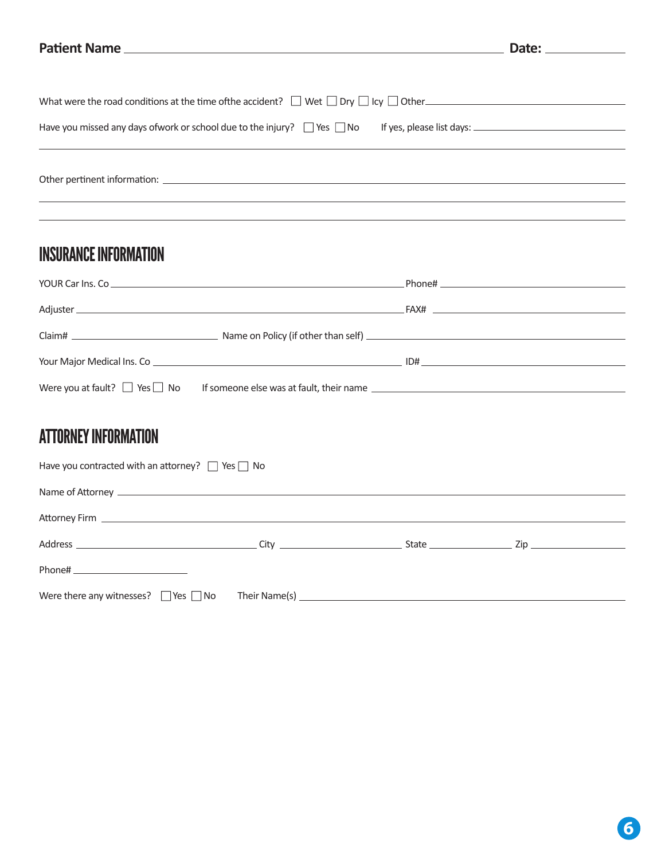|                                                                                                          | Date: _____________ |
|----------------------------------------------------------------------------------------------------------|---------------------|
|                                                                                                          |                     |
| What were the road conditions at the time of the accident? $\Box$ Wet $\Box$ Dry $\Box$ Icy $\Box$ Other |                     |
| Have you missed any days of work or school due to the injury? Nes No If yes, please list days:           |                     |
|                                                                                                          |                     |
|                                                                                                          |                     |
| <b>INSURANCE INFORMATION</b>                                                                             |                     |
|                                                                                                          |                     |
|                                                                                                          |                     |
|                                                                                                          |                     |
|                                                                                                          |                     |
| Were you at fault? $\Box$ Yes $\Box$ No If someone else was at fault, their name $\Box$                  |                     |
|                                                                                                          |                     |
| <b>AMMAN LIMIT ILIMAN LA LEIALI</b>                                                                      |                     |

## ATTORNEY INFORMATION

| Have you contracted with an attorney? $\Box$ Yes $\Box$ No |  |  |
|------------------------------------------------------------|--|--|
|                                                            |  |  |
|                                                            |  |  |
|                                                            |  |  |
| Phone# __________________________                          |  |  |
| Were there any witnesses? $\Box$ Yes $\Box$ No             |  |  |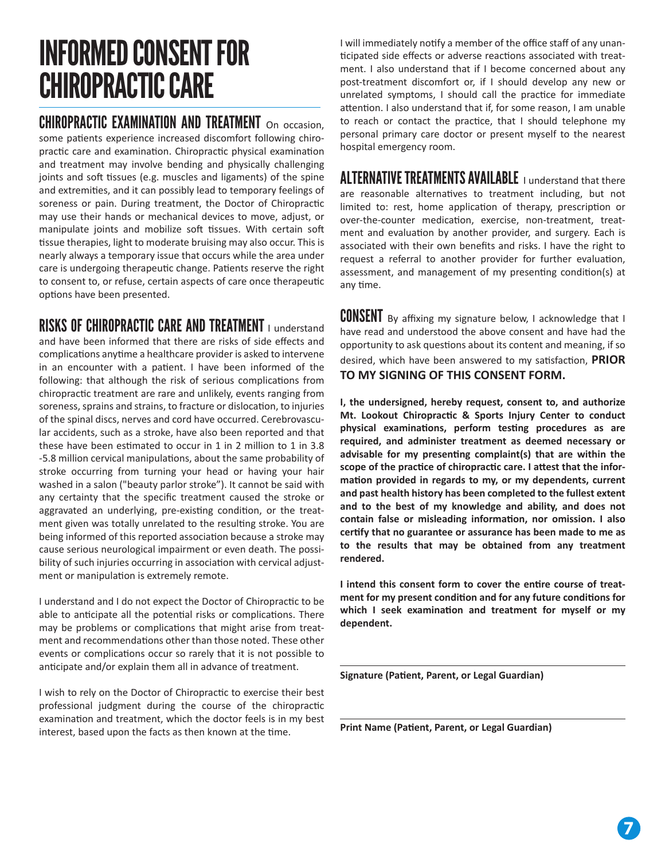## INFORMED CONSENT FOR CHIROPRACTIC CARE

#### CHIROPRACTIC EXAMINATION AND TREATMENT On occasion.

some patients experience increased discomfort following chiropractic care and examination. Chiropractic physical examination and treatment may involve bending and physically challenging joints and soft tissues (e.g. muscles and ligaments) of the spine and extremities, and it can possibly lead to temporary feelings of soreness or pain. During treatment, the Doctor of Chiropractic may use their hands or mechanical devices to move, adjust, or manipulate joints and mobilize soft tissues. With certain soft tissue therapies, light to moderate bruising may also occur. This is nearly always a temporary issue that occurs while the area under care is undergoing therapeutic change. Patients reserve the right to consent to, or refuse, certain aspects of care once therapeu�c options have been presented.

#### RISKS OF CHIROPRACTIC CARE AND TREATMENT I understand

and have been informed that there are risks of side effects and complications anytime a healthcare provider is asked to intervene in an encounter with a patient. I have been informed of the following: that although the risk of serious complications from chiroprac�c treatment are rare and unlikely, events ranging from soreness, sprains and strains, to fracture or dislocation, to injuries of the spinal discs, nerves and cord have occurred. Cerebrovascular accidents, such as a stroke, have also been reported and that these have been estimated to occur in 1 in 2 million to 1 in 3.8 -5.8 million cervical manipulations, about the same probability of stroke occurring from turning your head or having your hair washed in a salon ("beauty parlor stroke"). It cannot be said with any certainty that the specific treatment caused the stroke or aggravated an underlying, pre-existing condition, or the treatment given was totally unrelated to the resulting stroke. You are being informed of this reported association because a stroke may cause serious neurological impairment or even death. The possibility of such injuries occurring in association with cervical adjustment or manipulation is extremely remote.

I understand and I do not expect the Doctor of Chiroprac�c to be able to anticipate all the potential risks or complications. There may be problems or complications that might arise from treatment and recommendations other than those noted. These other events or complications occur so rarely that it is not possible to anticipate and/or explain them all in advance of treatment.

I wish to rely on the Doctor of Chiropractic to exercise their best professional judgment during the course of the chiropractic examination and treatment, which the doctor feels is in my best interest, based upon the facts as then known at the time.

I will immediately no�fy a member of the office staff of any unan ticipated side effects or adverse reactions associated with treatment. I also understand that if I become concerned about any post-treatment discomfort or, if I should develop any new or unrelated symptoms, I should call the practice for immediate attention. I also understand that if, for some reason, I am unable to reach or contact the practice, that I should telephone my personal primary care doctor or present myself to the nearest hospital emergency room.

#### ALTERNATIVE TREATMENTS AVAILABLE I understand that there

are reasonable alternatives to treatment including, but not limited to: rest, home application of therapy, prescription or over-the-counter medication, exercise, non-treatment, treatment and evaluation by another provider, and surgery. Each is associated with their own benefits and risks. I have the right to request a referral to another provider for further evaluation, assessment, and management of my presenting condition(s) at any time.

**CONSENT** By affixing my signature below, I acknowledge that I have read and understood the above consent and have had the opportunity to ask questions about its content and meaning, if so desired, which have been answered to my satisfaction, **PRIOR TO MY SIGNING OF THIS CONSENT FORM.** 

**I, the undersigned, hereby request, consent to, and authorize Mt. Lookout Chiroprac�c & Sports Injury Center to conduct**  physical examinations, perform testing procedures as are **required, and administer treatment as deemed necessary or**  advisable for my presenting complaint(s) that are within the scope of the practice of chiropractic care. I attest that the information provided in regards to my, or my dependents, current **and past health history has been completed to the fullest extent and to the best of my knowledge and ability, and does not**  contain false or misleading information, nor omission. I also **cer�fy that no guarantee or assurance has been made to me as to the results that may be obtained from any treatment rendered.** 

**I** intend this consent form to cover the entire course of treatment for my present condition and for any future conditions for which I seek examination and treatment for myself or my **dependent.** 

**Signature (Patient, Parent, or Legal Guardian)** 

**Print Name (Patient, Parent, or Legal Guardian)**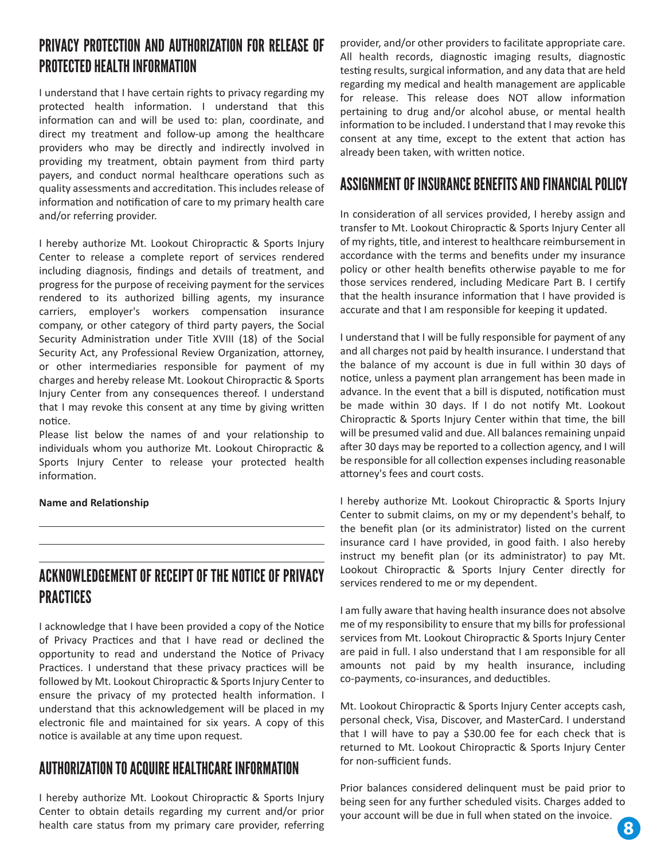#### PRIVACY PROTECTION AND AUTHORIZATION FOR RELEASE OF PROTECTED HEALTH INFORMATION

I understand that I have certain rights to privacy regarding my protected health information. I understand that this information can and will be used to: plan, coordinate, and direct my treatment and follow-up among the healthcare providers who may be directly and indirectly involved in providing my treatment, obtain payment from third party payers, and conduct normal healthcare operations such as quality assessments and accredita�on. This includes release of information and notification of care to my primary health care and/or referring provider.

I hereby authorize Mt. Lookout Chiropractic & Sports Injury Center to release a complete report of services rendered including diagnosis, findings and details of treatment, and progress for the purpose of receiving payment for the services rendered to its authorized billing agents, my insurance carriers, employer's workers compensation insurance company, or other category of third party payers, the Social Security Administration under Title XVIII (18) of the Social Security Act, any Professional Review Organization, attorney, or other intermediaries responsible for payment of my charges and hereby release Mt. Lookout Chiroprac�c & Sports Injury Center from any consequences thereof. I understand that I may revoke this consent at any time by giving written notice.

Please list below the names of and your relationship to individuals whom you authorize Mt. Lookout Chiropractic & Sports Injury Center to release your protected health information

#### **Name and Relationship**

#### ACKNOWLEDGEMENT OF RECEIPT OF THE NOTICE OF PRIVACY PRACTICES

I acknowledge that I have been provided a copy of the Notice of Privacy Prac�ces and that I have read or declined the opportunity to read and understand the Notice of Privacy Practices. I understand that these privacy practices will be followed by Mt. Lookout Chiroprac�c & Sports Injury Center to ensure the privacy of my protected health information. I understand that this acknowledgement will be placed in my electronic file and maintained for six years. A copy of this notice is available at any time upon request.

#### AUTHORIZATION TO ACQUIRE HEALTHCARE INFORMATION

I hereby authorize Mt. Lookout Chiroprac�c & Sports Injury Center to obtain details regarding my current and/or prior health care status from my primary care provider, referring provider, and/or other providers to facilitate appropriate care. All health records, diagnostic imaging results, diagnostic testing results, surgical information, and any data that are held regarding my medical and health management are applicable for release. This release does NOT allow information pertaining to drug and/or alcohol abuse, or mental health information to be included. I understand that I may revoke this consent at any time, except to the extent that action has already been taken, with written notice.

#### ASSIGNMENT OF INSURANCE BENEFITS AND FINANCIAL POLICY

In consideration of all services provided, I hereby assign and transfer to Mt. Lookout Chiroprac�c & Sports Injury Center all of my rights, title, and interest to healthcare reimbursement in accordance with the terms and benefits under my insurance policy or other health benefits otherwise payable to me for those services rendered, including Medicare Part B. I certify that the health insurance information that I have provided is accurate and that I am responsible for keeping it updated.

I understand that I will be fully responsible for payment of any and all charges not paid by health insurance. I understand that the balance of my account is due in full within 30 days of notice, unless a payment plan arrangement has been made in advance. In the event that a bill is disputed, notification must be made within 30 days. If I do not notify Mt. Lookout Chiropractic & Sports Injury Center within that time, the bill will be presumed valid and due. All balances remaining unpaid after 30 days may be reported to a collection agency, and I will be responsible for all collection expenses including reasonable attorney's fees and court costs.

I hereby authorize Mt. Lookout Chiropractic & Sports Injury Center to submit claims, on my or my dependent's behalf, to the benefit plan (or its administrator) listed on the current insurance card I have provided, in good faith. I also hereby instruct my benefit plan (or its administrator) to pay Mt. Lookout Chiropractic & Sports Injury Center directly for services rendered to me or my dependent.

I am fully aware that having health insurance does not absolve me of my responsibility to ensure that my bills for professional services from Mt. Lookout Chiropractic & Sports Injury Center are paid in full. I also understand that I am responsible for all amounts not paid by my health insurance, including co-payments, co-insurances, and deductibles.

Mt. Lookout Chiroprac�c & Sports Injury Center accepts cash, personal check, Visa, Discover, and MasterCard. I understand that I will have to pay a \$30.00 fee for each check that is returned to Mt. Lookout Chiropractic & Sports Injury Center for non-sufficient funds.

Prior balances considered delinquent must be paid prior to being seen for any further scheduled visits. Charges added to your account will be due in full when stated on the invoice.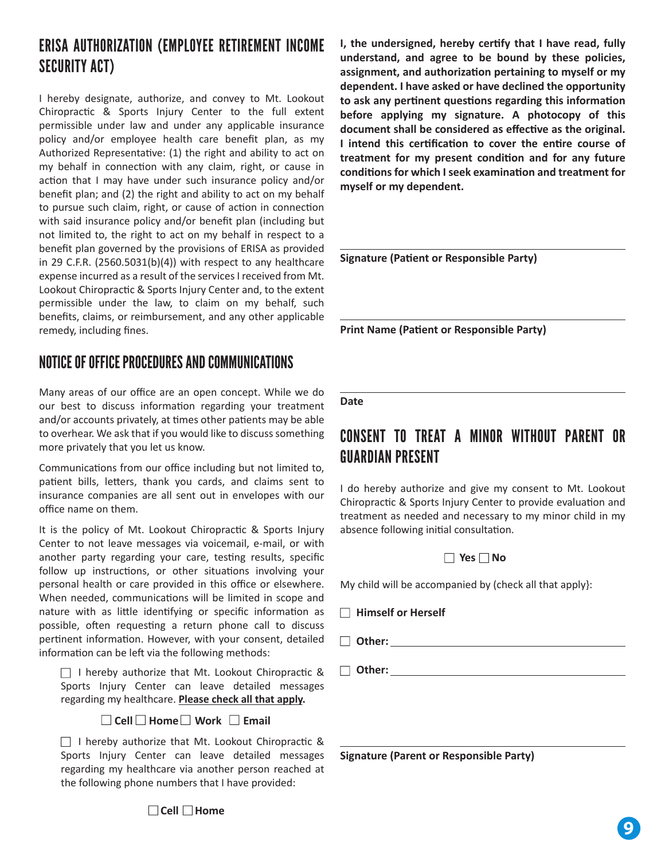### ERISA AUTHORIZATION (EMPLOYEE RETIREMENT INCOME SECURITY ACT)

I hereby designate, authorize, and convey to Mt. Lookout Chiroprac�c & Sports Injury Center to the full extent permissible under law and under any applicable insurance policy and/or employee health care benefit plan, as my Authorized Representative: (1) the right and ability to act on my behalf in connection with any claim, right, or cause in action that I may have under such insurance policy and/or benefit plan; and (2) the right and ability to act on my behalf to pursue such claim, right, or cause of action in connection with said insurance policy and/or benefit plan (including but not limited to, the right to act on my behalf in respect to a benefit plan governed by the provisions of ERISA as provided in 29 C.F.R. (2560.5031(b)(4)) with respect to any healthcare expense incurred as a result of the services I received from Mt. Lookout Chiroprac�c & Sports Injury Center and, to the extent permissible under the law, to claim on my behalf, such benefits, claims, or reimbursement, and any other applicable remedy, including fines.

#### NOTICE OF OFFICE PROCEDURES AND COMMUNICATIONS

Many areas of our office are an open concept. While we do our best to discuss information regarding your treatment and/or accounts privately, at times other patients may be able to overhear. We ask that if you would like to discuss something more privately that you let us know.

Communications from our office including but not limited to, patient bills, letters, thank you cards, and claims sent to insurance companies are all sent out in envelopes with our office name on them.

It is the policy of Mt. Lookout Chiropractic & Sports Injury Center to not leave messages via voicemail, e-mail, or with another party regarding your care, testing results, specific follow up instructions, or other situations involving your personal health or care provided in this office or elsewhere. When needed, communications will be limited in scope and nature with as little identifying or specific information as possible, often requesting a return phone call to discuss pertinent information. However, with your consent, detailed information can be left via the following methods:

 $\Box$  I hereby authorize that Mt. Lookout Chiropractic & Sports Injury Center can leave detailed messages regarding my healthcare. **Please check all that apply.**

#### **Cell Home Work Email**

 $\Box$  I hereby authorize that Mt. Lookout Chiropractic & Sports Injury Center can leave detailed messages regarding my healthcare via another person reached at the following phone numbers that I have provided:

**I, the undersigned, hereby cer�fy that I have read, fully understand, and agree to be bound by these policies,**  assignment, and authorization pertaining to myself or my **dependent. I have asked or have declined the opportunity**  to ask any pertinent questions regarding this information **before applying my signature. A photocopy of this**  document shall be considered as effective as the original. **I** intend this certification to cover the entire course of **treatment for my present condi�on and for any future**  conditions for which I seek examination and treatment for **myself or my dependent.** 

**Signature (Patient or Responsible Party)** 

**Print Name (Patient or Responsible Party)** 

#### **Date**

#### CONSENT TO TREAT A MINOR WITHOUT PARENT OR GUARDIAN PRESENT

I do hereby authorize and give my consent to Mt. Lookout Chiropractic & Sports Injury Center to provide evaluation and treatment as needed and necessary to my minor child in my absence following initial consultation.

#### **Yes No**

My child will be accompanied by (check all that apply}:

- **Himself or Herself**
- **Other:**

 **Other:**

**Signature (Parent or Responsible Party)** 

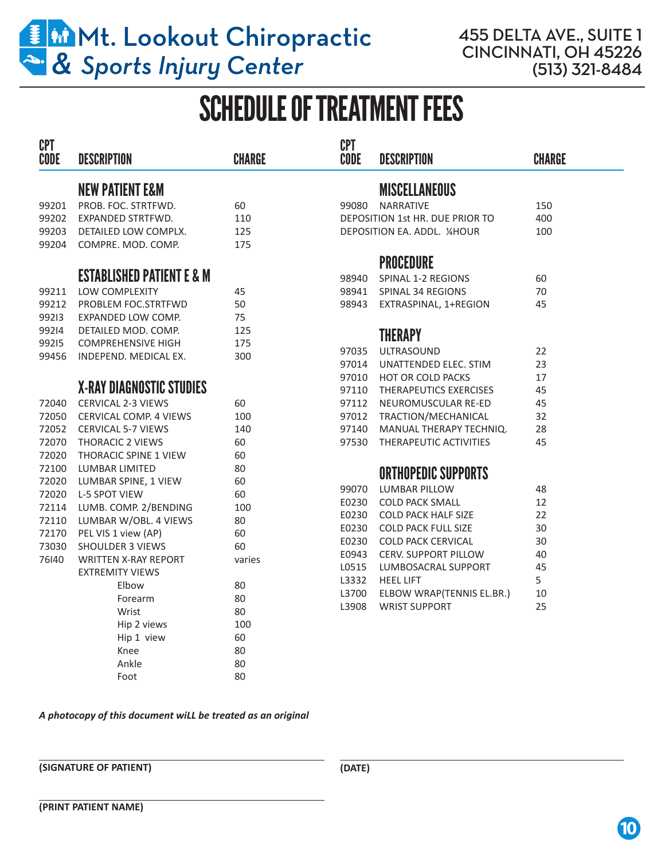

455 DELTA AVE., SUITE 1 CINCINNATI, OH 45226 (513) 321-8484

## SCHEDULE OF TREATMENT FEES

| <b>CPT</b><br>CODE | <b>DESCRIPTION</b>                   | <b>CHARGE</b> | <b>CPT</b><br><b>CODE</b> | <b>DESCRIPTION</b>              | <b>CHARGE</b> |
|--------------------|--------------------------------------|---------------|---------------------------|---------------------------------|---------------|
|                    | <b>NEW PATIENT E&amp;M</b>           |               |                           | <b>MISCELLANEOUS</b>            |               |
| 99201              | PROB. FOC. STRTFWD.                  | 60            | 99080                     | <b>NARRATIVE</b>                | 150           |
| 99202              | EXPANDED STRTFWD.                    | 110           |                           | DEPOSITION 1st HR. DUE PRIOR TO | 400           |
| 99203              | DETAILED LOW COMPLX.                 | 125           |                           | DEPOSITION EA. ADDL. 1/4HOUR    | 100           |
| 99204              | COMPRE. MOD. COMP.                   | 175           |                           |                                 |               |
|                    |                                      |               |                           | <b>PROCEDURE</b>                |               |
|                    | <b>ESTABLISHED PATIENT E &amp; M</b> |               | 98940                     | SPINAL 1-2 REGIONS              | 60            |
| 99211              | LOW COMPLEXITY                       | 45            | 98941                     | SPINAL 34 REGIONS               | 70            |
| 99212              | PROBLEM FOC.STRTFWD                  | 50            | 98943                     | EXTRASPINAL, 1+REGION           | 45            |
| 99213              | EXPANDED LOW COMP.                   | 75            |                           |                                 |               |
| 99214              | DETAILED MOD. COMP.                  | 125           |                           |                                 |               |
| 99215              | <b>COMPREHENSIVE HIGH</b>            | 175           |                           | <b>THERAPY</b>                  |               |
| 99456              | INDEPEND. MEDICAL EX.                | 300           | 97035                     | <b>ULTRASOUND</b>               | 22            |
|                    |                                      |               | 97014                     | UNATTENDED ELEC. STIM           | 23            |
|                    |                                      |               |                           | 97010 HOT OR COLD PACKS         | 17            |
|                    | <b>X-RAY DIAGNOSTIC STUDIES</b>      |               | 97110                     | THERAPEUTICS EXERCISES          | 45            |
| 72040              | <b>CERVICAL 2-3 VIEWS</b>            | 60            | 97112                     | NEUROMUSCULAR RE-ED             | 45            |
| 72050              | <b>CERVICAL COMP. 4 VIEWS</b>        | 100           | 97012                     | TRACTION/MECHANICAL             | 32            |
|                    | 72052 CERVICAL 5-7 VIEWS             | 140           | 97140                     | MANUAL THERAPY TECHNIQ.         | 28            |
| 72070              | <b>THORACIC 2 VIEWS</b>              | 60            | 97530                     | THERAPEUTIC ACTIVITIES          | 45            |
| 72020              | <b>THORACIC SPINE 1 VIEW</b>         | 60            |                           |                                 |               |
| 72100              | LUMBAR LIMITED                       | 80            |                           | <b>ORTHOPEDIC SUPPORTS</b>      |               |
| 72020              | LUMBAR SPINE, 1 VIEW                 | 60            | 99070                     | <b>LUMBAR PILLOW</b>            | 48            |
|                    | 72020 L-5 SPOT VIEW                  | 60            | E0230                     | <b>COLD PACK SMALL</b>          | 12            |
| 72114              | LUMB. COMP. 2/BENDING                | 100           | E0230                     | <b>COLD PACK HALF SIZE</b>      | 22            |
| 72110              | LUMBAR W/OBL. 4 VIEWS                | 80            | E0230                     | <b>COLD PACK FULL SIZE</b>      | 30            |
| 72170              | PEL VIS 1 view (AP)                  | 60            | E0230                     | <b>COLD PACK CERVICAL</b>       | 30            |
| 73030              | <b>SHOULDER 3 VIEWS</b>              | 60            | E0943                     | <b>CERV. SUPPORT PILLOW</b>     | 40            |
| 76140              | <b>WRITTEN X-RAY REPORT</b>          | varies        | L0515                     | LUMBOSACRAL SUPPORT             | 45            |
|                    | <b>EXTREMITY VIEWS</b>               |               | L3332                     | <b>HEEL LIFT</b>                | 5             |
|                    | Elbow                                | 80            | L3700                     | ELBOW WRAP(TENNIS EL.BR.)       | 10            |
|                    | Forearm                              | 80            | L3908                     | <b>WRIST SUPPORT</b>            | 25            |
|                    | Wrist                                | 80            |                           |                                 |               |
|                    | Hip 2 views                          | 100           |                           |                                 |               |
|                    | Hip 1 view                           | 60            |                           |                                 |               |
|                    | Knee                                 | 80            |                           |                                 |               |
|                    | Ankle                                | 80            |                           |                                 |               |
|                    | Foot                                 | 80            |                           |                                 |               |

#### *A photocopy of this document wiLL be treated as an original*

**(SIGNATURE OF PATIENT)**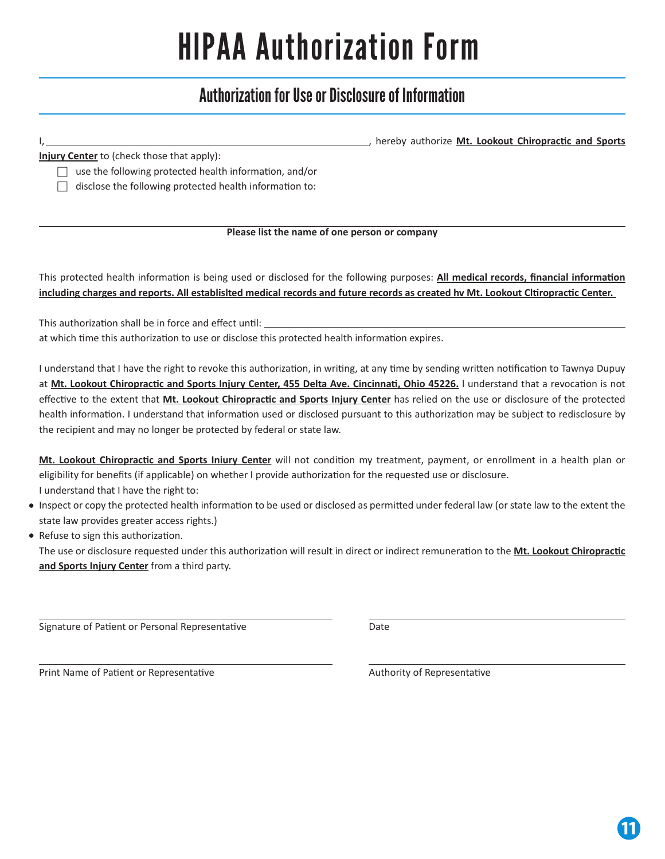# HlPAA Authorization Form

### Authorization for Use or Disclosure of Information

|                                                                                                                                    | hereby authorize Mt. Lookout Chiropractic and Sports                                                                                                                                                                                                                                                                                                                                                                                                                                                                                                          |
|------------------------------------------------------------------------------------------------------------------------------------|---------------------------------------------------------------------------------------------------------------------------------------------------------------------------------------------------------------------------------------------------------------------------------------------------------------------------------------------------------------------------------------------------------------------------------------------------------------------------------------------------------------------------------------------------------------|
| Injury Center to (check those that apply):                                                                                         |                                                                                                                                                                                                                                                                                                                                                                                                                                                                                                                                                               |
| use the following protected health information, and/or                                                                             |                                                                                                                                                                                                                                                                                                                                                                                                                                                                                                                                                               |
| disclose the following protected health information to:                                                                            |                                                                                                                                                                                                                                                                                                                                                                                                                                                                                                                                                               |
|                                                                                                                                    |                                                                                                                                                                                                                                                                                                                                                                                                                                                                                                                                                               |
|                                                                                                                                    | Please list the name of one person or company                                                                                                                                                                                                                                                                                                                                                                                                                                                                                                                 |
| including charges and reports. All establisited medical records and future records as created hv Mt. Lookout Cltiropractic Center. | This protected health information is being used or disclosed for the following purposes: All medical records, financial information                                                                                                                                                                                                                                                                                                                                                                                                                           |
| This authorization shall be in force and effect until: _________________________                                                   |                                                                                                                                                                                                                                                                                                                                                                                                                                                                                                                                                               |
| at which time this authorization to use or disclose this protected health information expires.                                     |                                                                                                                                                                                                                                                                                                                                                                                                                                                                                                                                                               |
| the recipient and may no longer be protected by federal or state law.                                                              | I understand that I have the right to revoke this authorization, in writing, at any time by sending written notification to Tawnya Dupuy<br>at Mt. Lookout Chiropractic and Sports Injury Center, 455 Delta Ave. Cincinnati, Ohio 45226. I understand that a revocation is not<br>effective to the extent that Mt. Lookout Chiropractic and Sports Injury Center has relied on the use or disclosure of the protected<br>health information. I understand that information used or disclosed pursuant to this authorization may be subject to redisclosure by |
| eligibility for benefits (if applicable) on whether I provide authorization for the requested use or disclosure.                   | Mt. Lookout Chiropractic and Sports Iniury Center will not condition my treatment, payment, or enrollment in a health plan or                                                                                                                                                                                                                                                                                                                                                                                                                                 |
| I understand that I have the right to:<br>state law provides greater access rights.)                                               | Inspect or copy the protected health information to be used or disclosed as permitted under federal law (or state law to the extent the                                                                                                                                                                                                                                                                                                                                                                                                                       |
| Refuse to sign this authorization.<br>and Sports Injury Center from a third party.                                                 | The use or disclosure requested under this authorization will result in direct or indirect remuneration to the Mt. Lookout Chiropractic                                                                                                                                                                                                                                                                                                                                                                                                                       |
| Signature of Patient or Personal Representative                                                                                    | Date                                                                                                                                                                                                                                                                                                                                                                                                                                                                                                                                                          |
| Print Name of Patient or Representative                                                                                            | Authority of Representative                                                                                                                                                                                                                                                                                                                                                                                                                                                                                                                                   |